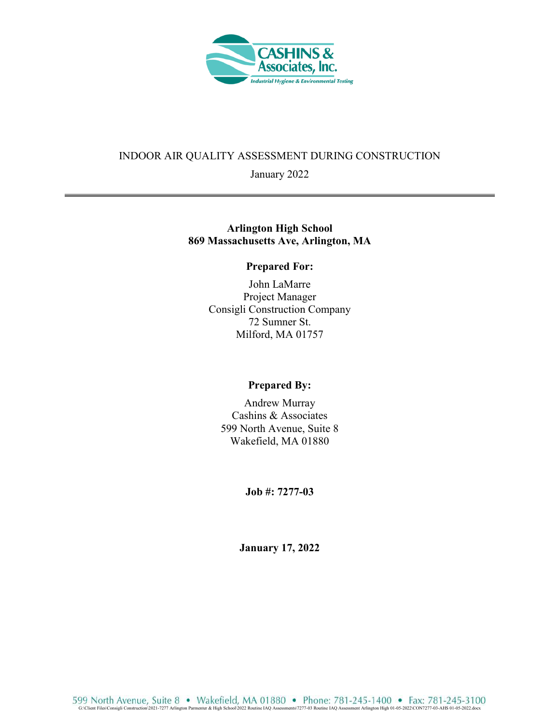

### INDOOR AIR QUALITY ASSESSMENT DURING CONSTRUCTION

January 2022

## **Arlington High School 869 Massachusetts Ave, Arlington, MA**

#### **Prepared For:**

John LaMarre Project Manager Consigli Construction Company 72 Sumner St. Milford, MA 01757

# **Prepared By:**

Andrew Murray Cashins & Associates 599 North Avenue, Suite 8 Wakefield, MA 01880

**Job #: 7277-03** 

**January 17, 2022**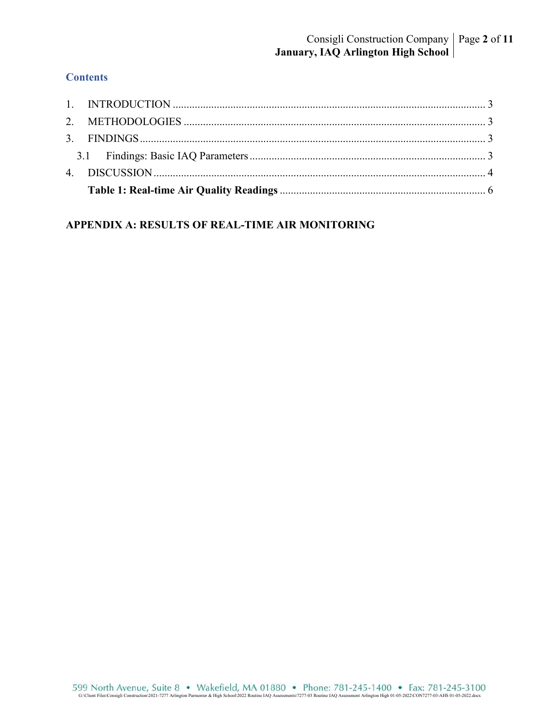# **Contents**

# **APPENDIX A: RESULTS OF REAL-TIME AIR MONITORING**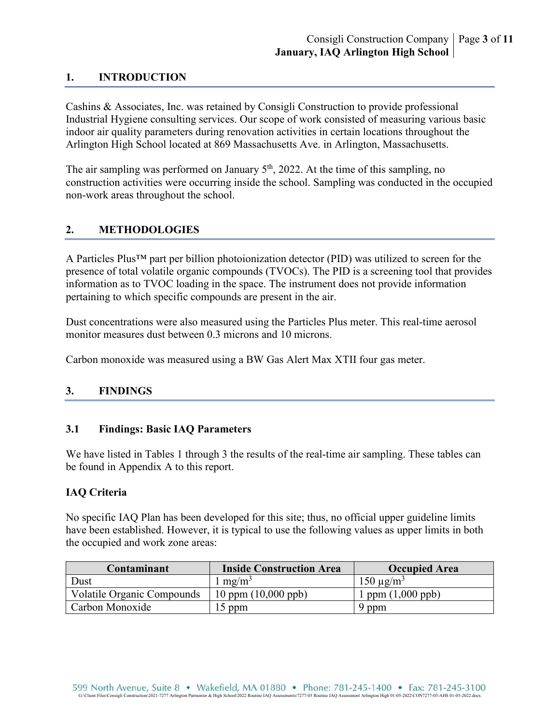## **1. INTRODUCTION**

Cashins & Associates, Inc. was retained by Consigli Construction to provide professional Industrial Hygiene consulting services. Our scope of work consisted of measuring various basic indoor air quality parameters during renovation activities in certain locations throughout the Arlington High School located at 869 Massachusetts Ave. in Arlington, Massachusetts.

The air sampling was performed on January  $5<sup>th</sup>$ , 2022. At the time of this sampling, no construction activities were occurring inside the school. Sampling was conducted in the occupied non-work areas throughout the school.

# **2. METHODOLOGIES**

A Particles Plus™ part per billion photoionization detector (PID) was utilized to screen for the presence of total volatile organic compounds (TVOCs). The PID is a screening tool that provides information as to TVOC loading in the space. The instrument does not provide information pertaining to which specific compounds are present in the air.

Dust concentrations were also measured using the Particles Plus meter. This real-time aerosol monitor measures dust between 0.3 microns and 10 microns.

Carbon monoxide was measured using a BW Gas Alert Max XTII four gas meter.

## **3. FINDINGS**

## **3.1 Findings: Basic IAQ Parameters**

We have listed in Tables 1 through 3 the results of the real-time air sampling. These tables can be found in Appendix A to this report.

#### **IAQ Criteria**

No specific IAQ Plan has been developed for this site; thus, no official upper guideline limits have been established. However, it is typical to use the following values as upper limits in both the occupied and work zone areas:

| Contaminant                       | <b>Inside Construction Area</b> | <b>Occupied Area</b>  |
|-----------------------------------|---------------------------------|-----------------------|
| Dust                              | mg/m <sup>3</sup>               | $150 \mu g/m^3$       |
| <b>Volatile Organic Compounds</b> | $10$ ppm $(10,000$ ppb)         | $1$ ppm $(1,000$ ppb) |
| Carbon Monoxide                   | $15$ ppm                        | 9 ppm                 |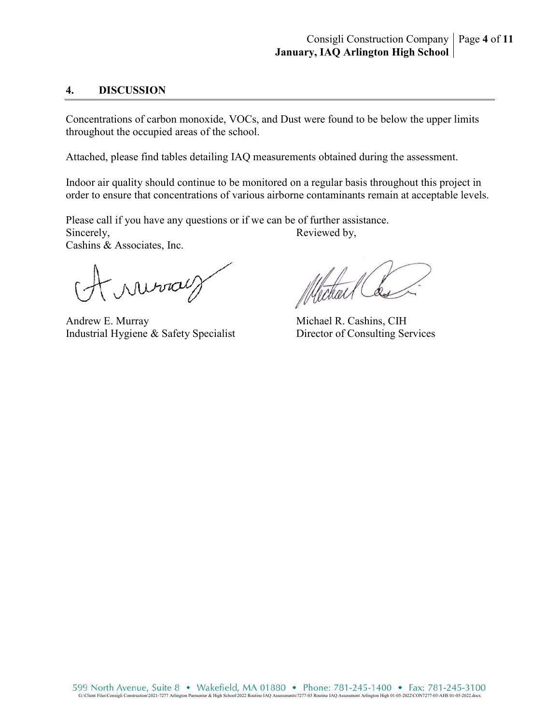### **4. DISCUSSION**

Concentrations of carbon monoxide, VOCs, and Dust were found to be below the upper limits throughout the occupied areas of the school.

Attached, please find tables detailing IAQ measurements obtained during the assessment.

Indoor air quality should continue to be monitored on a regular basis throughout this project in order to ensure that concentrations of various airborne contaminants remain at acceptable levels.

Please call if you have any questions or if we can be of further assistance. Sincerely, Reviewed by, Cashins & Associates, Inc.

Murray

Andrew E. Murray Michael R. Cashins, CIH Industrial Hygiene & Safety Specialist Director of Consulting Services

Michael Co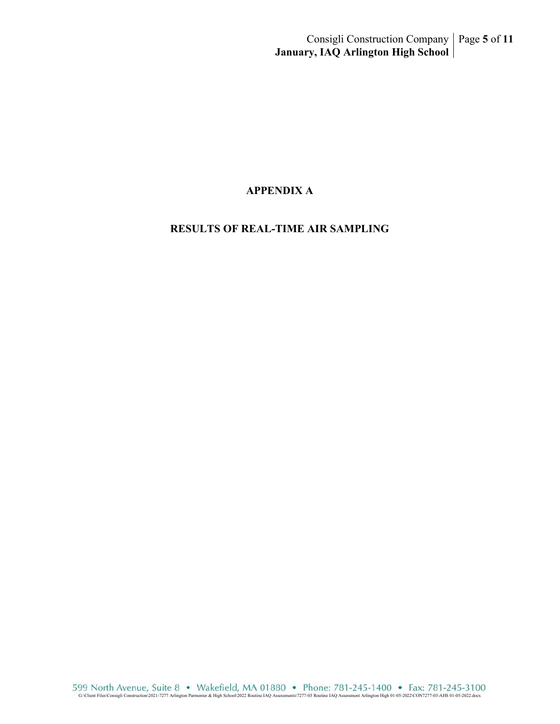### **APPENDIX A**

# **RESULTS OF REAL-TIME AIR SAMPLING**

G99 North Avenue, Suite 8 • Wakefield, MA 01880 • Phone: 781-245-1400 • Fax: 781-245-3100<br>G:\Client Files\Consigli Construction\2021-7277 Arlington Parmenter & High School\2022 Routine IAQ Assessments\7277-03 Routine IAQ A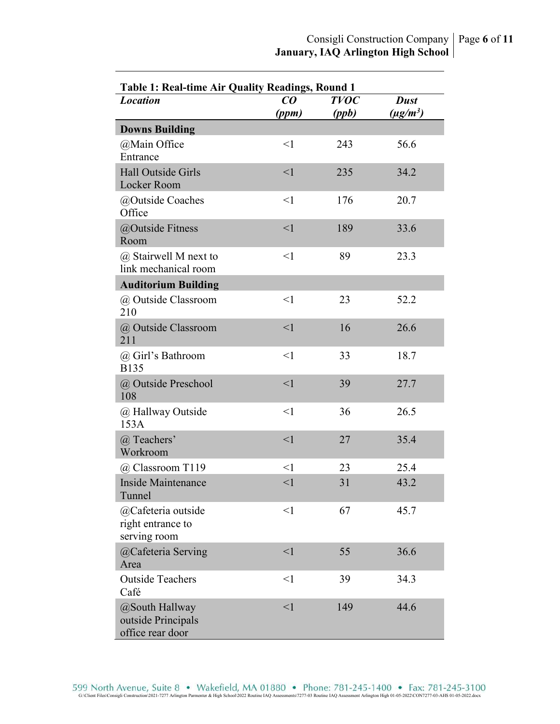| <b>Table 1: Real-time Air Quality Readings, Round 1</b>  |                                |             |               |
|----------------------------------------------------------|--------------------------------|-------------|---------------|
| <b>Location</b>                                          | $\boldsymbol{C}\boldsymbol{O}$ | <b>TVOC</b> | <b>Dust</b>   |
|                                                          | (ppm)                          | (ppb)       | $(\mu g/m^3)$ |
| <b>Downs Building</b>                                    |                                |             |               |
| @Main Office<br>Entrance                                 | $\leq$ 1                       | 243         | 56.6          |
| Hall Outside Girls<br>Locker Room                        | $\leq$ 1                       | 235         | 34.2          |
| @Outside Coaches<br>Office                               | $\leq$ 1                       | 176         | 20.7          |
| @Outside Fitness<br>Room                                 | $\leq$ 1                       | 189         | 33.6          |
| @ Stairwell M next to<br>link mechanical room            | $\leq$ 1                       | 89          | 23.3          |
| <b>Auditorium Building</b>                               |                                |             |               |
| @ Outside Classroom<br>210                               | $\leq$ 1                       | 23          | 52.2          |
| @ Outside Classroom<br>211                               | $\leq$ 1                       | 16          | 26.6          |
| @ Girl's Bathroom<br><b>B135</b>                         | $\leq$ 1                       | 33          | 18.7          |
| @ Outside Preschool<br>108                               | $\leq$ 1                       | 39          | 27.7          |
| @ Hallway Outside<br>153A                                | $\leq$ 1                       | 36          | 26.5          |
| @ Teachers'<br>Workroom                                  | $\leq$ 1                       | 27          | 35.4          |
| @ Classroom T119                                         | $<$ 1                          | 23          | 25.4          |
| Inside Maintenance<br>Tunnel                             | $<$ 1                          | 31          | 43.2          |
| @Cafeteria outside<br>right entrance to<br>serving room  | $<$ 1                          | 67          | 45.7          |
| @Cafeteria Serving<br>Area                               | $\leq$ 1                       | 55          | 36.6          |
| <b>Outside Teachers</b><br>Café                          | $\leq$ 1                       | 39          | 34.3          |
| @South Hallway<br>outside Principals<br>office rear door | $\leq$                         | 149         | 44.6          |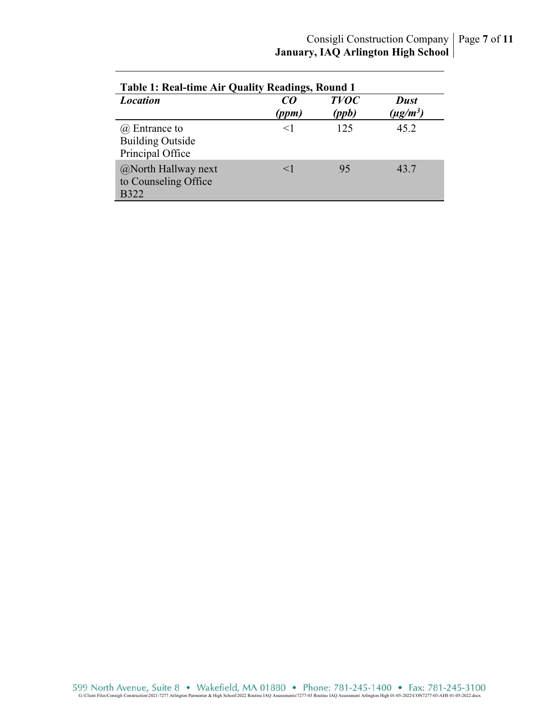| <b>Table 1: Real-time Air Quality Readings, Round 1</b>             |             |                      |                                          |  |
|---------------------------------------------------------------------|-------------|----------------------|------------------------------------------|--|
| <b>Location</b>                                                     | CO<br>(ppm) | <b>TVOC</b><br>(ppb) | <b>Dust</b><br>$(\mu$ g/m <sup>3</sup> ) |  |
| $\omega$ Entrance to<br><b>Building Outside</b><br>Principal Office | $\leq$      | 125                  | 45.2                                     |  |
| @North Hallway next<br>to Counseling Office<br><b>B322</b>          | $\leq$ 1    | 95                   | 43.7                                     |  |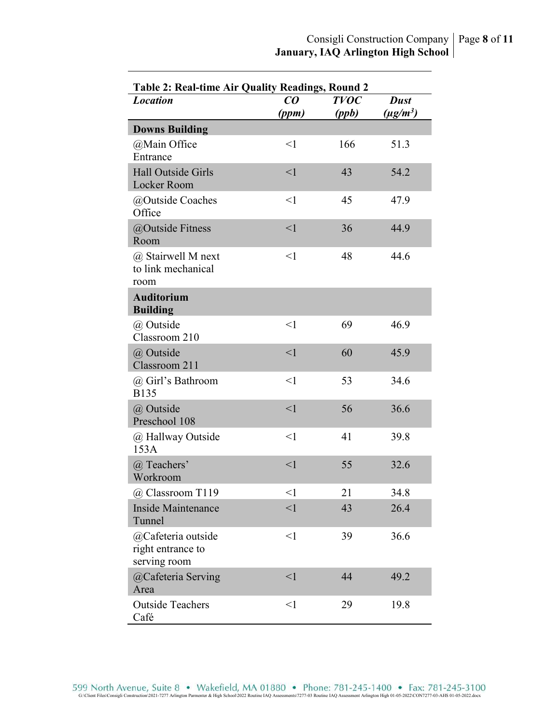| <b>Table 2: Real-time Air Quality Readings, Round 2</b> |                                |             |               |  |
|---------------------------------------------------------|--------------------------------|-------------|---------------|--|
| <b>Location</b>                                         | $\boldsymbol{C}\boldsymbol{O}$ | <b>TVOC</b> | <b>Dust</b>   |  |
|                                                         | (ppm)                          | (ppb)       | $(\mu g/m^3)$ |  |
| <b>Downs Building</b>                                   |                                |             |               |  |
| @Main Office                                            | <1                             | 166         | 51.3          |  |
| Entrance                                                |                                |             |               |  |
| <b>Hall Outside Girls</b><br>Locker Room                | $\leq$ 1                       | 43          | 54.2          |  |
| @Outside Coaches<br>Office                              | <1                             | 45          | 47.9          |  |
| @Outside Fitness<br>Room                                | $\leq$ 1                       | 36          | 44.9          |  |
| @ Stairwell M next<br>to link mechanical<br>room        | $\leq$ 1                       | 48          | 44.6          |  |
| <b>Auditorium</b><br><b>Building</b>                    |                                |             |               |  |
| @ Outside<br>Classroom 210                              | <1                             | 69          | 46.9          |  |
| @ Outside<br>Classroom 211                              | $\leq$ 1                       | 60          | 45.9          |  |
| @ Girl's Bathroom<br><b>B135</b>                        | $\leq$ 1                       | 53          | 34.6          |  |
| @ Outside<br>Preschool 108                              | $\leq$ 1                       | 56          | 36.6          |  |
| @ Hallway Outside<br>153A                               | $\leq$ 1                       | 41          | 39.8          |  |
| @ Teachers'<br>Workroom                                 | $\leq$ 1                       | 55          | 32.6          |  |
| @ Classroom T119                                        | $<$ l                          | 21          | 34.8          |  |
| <b>Inside Maintenance</b><br>Tunnel                     | $\leq$ 1                       | 43          | 26.4          |  |
| @Cafeteria outside<br>right entrance to<br>serving room | $\leq$ 1                       | 39          | 36.6          |  |
| @Cafeteria Serving<br>Area                              | $\leq$ 1                       | 44          | 49.2          |  |
| <b>Outside Teachers</b><br>Café                         | $\leq$ 1                       | 29          | 19.8          |  |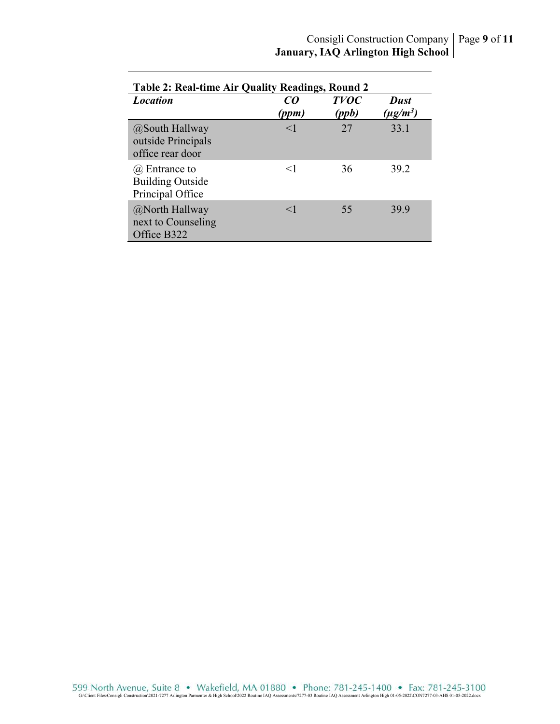| <b>Table 2: Real-time Air Quality Readings, Round 2</b>      |             |                      |                              |
|--------------------------------------------------------------|-------------|----------------------|------------------------------|
| <b>Location</b>                                              | CO<br>(ppm) | <b>TVOC</b><br>(ppb) | <b>Dust</b><br>$(\mu g/m^3)$ |
| @South Hallway<br>outside Principals<br>office rear door     | $<$ 1       | 27                   | 33.1                         |
| @ Entrance to<br><b>Building Outside</b><br>Principal Office | $\leq$ 1    | 36                   | 39.2                         |
| @North Hallway<br>next to Counseling<br>Office B322          | $<$ 1       | 55                   | 399                          |

G99 North Avenue, Suite 8 • Wakefield, MA 01880 • Phone: 781-245-1400 • Fax: 781-245-3100<br>G:\Client Files\Consigli Construction\2021-7277 Arlington Parmenter & High School\2022 Routine IAQ Assessments\7277-03 Routine IAQ A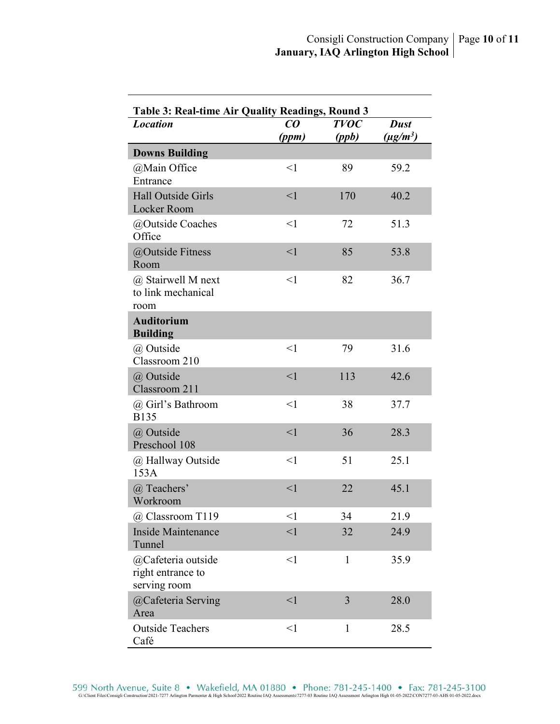| Table 3: Real-time Air Quality Readings, Round 3        |                                |              |               |  |
|---------------------------------------------------------|--------------------------------|--------------|---------------|--|
| <b>Location</b>                                         | $\boldsymbol{C}\boldsymbol{O}$ | <b>TVOC</b>  | <b>Dust</b>   |  |
|                                                         | (ppm)                          | (ppb)        | $(\mu g/m^3)$ |  |
| <b>Downs Building</b>                                   |                                |              |               |  |
| @Main Office<br>Entrance                                | $<$ 1                          | 89           | 59.2          |  |
| Hall Outside Girls<br>Locker Room                       | $\leq$ 1                       | 170          | 40.2          |  |
| @Outside Coaches<br>Office                              | $\leq$ 1                       | 72           | 51.3          |  |
| @Outside Fitness<br>Room                                | $\leq$ 1                       | 85           | 53.8          |  |
| @ Stairwell M next<br>to link mechanical<br>room        | $\leq$ 1                       | 82           | 36.7          |  |
| <b>Auditorium</b><br><b>Building</b>                    |                                |              |               |  |
| @ Outside<br>Classroom 210                              | $\leq$ 1                       | 79           | 31.6          |  |
| @ Outside<br>Classroom 211                              | $\leq$ 1                       | 113          | 42.6          |  |
| @ Girl's Bathroom<br><b>B135</b>                        | $\leq$ 1                       | 38           | 37.7          |  |
| @ Outside<br>Preschool 108                              | $\leq$ 1                       | 36           | 28.3          |  |
| @ Hallway Outside<br>153A                               | $\leq$ 1                       | 51           | 25.1          |  |
| @ Teachers'<br>Workroom                                 | $\leq$ 1                       | 22           | 45.1          |  |
| @ Classroom T119                                        | $<$ 1                          | 34           | 21.9          |  |
| Inside Maintenance<br>Tunnel                            | $\leq$ 1                       | 32           | 24.9          |  |
| @Cafeteria outside<br>right entrance to<br>serving room | $\leq$ 1                       | $\mathbf{1}$ | 35.9          |  |
| @Cafeteria Serving<br>Area                              | $\leq$ 1                       | 3            | 28.0          |  |
| <b>Outside Teachers</b><br>Café                         | $\leq$ 1                       | $\mathbf{1}$ | 28.5          |  |